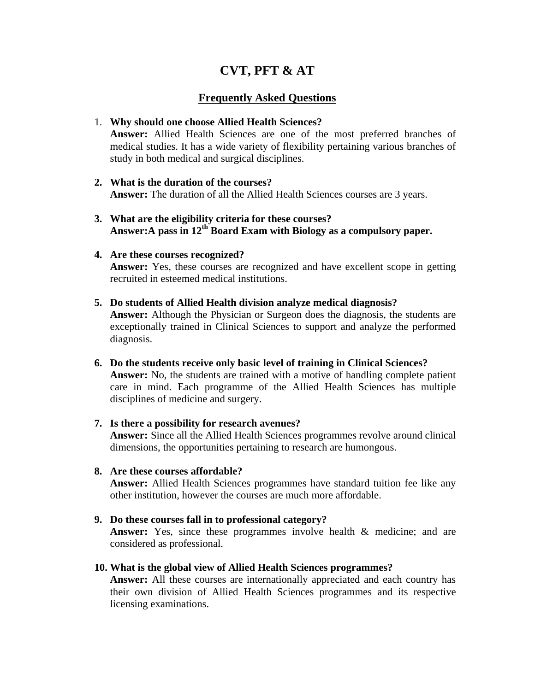# **CVT, PFT & AT**

## **Frequently Asked Questions**

## 1. **Why should one choose Allied Health Sciences?**

**Answer:** Allied Health Sciences are one of the most preferred branches of medical studies. It has a wide variety of flexibility pertaining various branches of study in both medical and surgical disciplines.

- **2. What is the duration of the courses? Answer:** The duration of all the Allied Health Sciences courses are 3 years.
- **3. What are the eligibility criteria for these courses? Answer:A pass in 12th Board Exam with Biology as a compulsory paper.**

## **4. Are these courses recognized?**

**Answer:** Yes, these courses are recognized and have excellent scope in getting recruited in esteemed medical institutions.

## **5. Do students of Allied Health division analyze medical diagnosis?**

**Answer:** Although the Physician or Surgeon does the diagnosis, the students are exceptionally trained in Clinical Sciences to support and analyze the performed diagnosis.

- **6. Do the students receive only basic level of training in Clinical Sciences? Answer:** No, the students are trained with a motive of handling complete patient care in mind. Each programme of the Allied Health Sciences has multiple disciplines of medicine and surgery.
- **7. Is there a possibility for research avenues? Answer:** Since all the Allied Health Sciences programmes revolve around clinical dimensions, the opportunities pertaining to research are humongous.

## **8. Are these courses affordable?**

**Answer:** Allied Health Sciences programmes have standard tuition fee like any other institution, however the courses are much more affordable.

## **9. Do these courses fall in to professional category?**

**Answer:** Yes, since these programmes involve health & medicine; and are considered as professional.

## **10. What is the global view of Allied Health Sciences programmes?**

**Answer:** All these courses are internationally appreciated and each country has their own division of Allied Health Sciences programmes and its respective licensing examinations.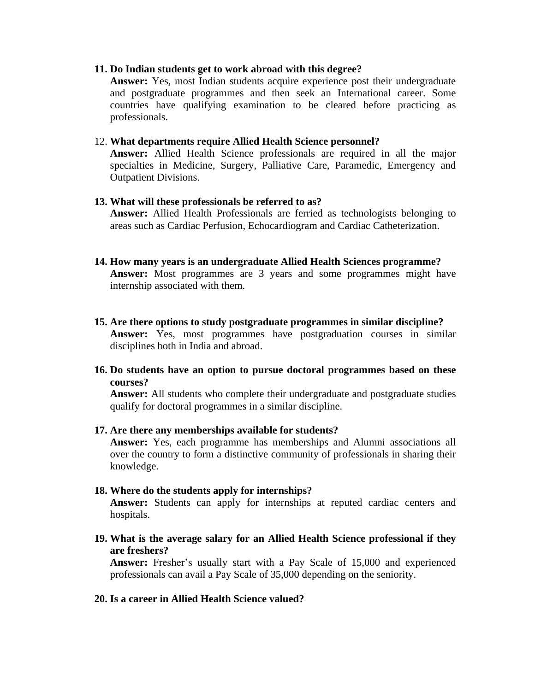### **11. Do Indian students get to work abroad with this degree?**

**Answer:** Yes, most Indian students acquire experience post their undergraduate and postgraduate programmes and then seek an International career. Some countries have qualifying examination to be cleared before practicing as professionals.

#### 12. **What departments require Allied Health Science personnel?**

**Answer:** Allied Health Science professionals are required in all the major specialties in Medicine, Surgery, Palliative Care, Paramedic, Emergency and Outpatient Divisions.

#### **13. What will these professionals be referred to as?**

**Answer:** Allied Health Professionals are ferried as technologists belonging to areas such as Cardiac Perfusion, Echocardiogram and Cardiac Catheterization.

## **14. How many years is an undergraduate Allied Health Sciences programme? Answer:** Most programmes are 3 years and some programmes might have internship associated with them.

**15. Are there options to study postgraduate programmes in similar discipline? Answer:** Yes, most programmes have postgraduation courses in similar disciplines both in India and abroad.

## **16. Do students have an option to pursue doctoral programmes based on these courses?**

**Answer:** All students who complete their undergraduate and postgraduate studies qualify for doctoral programmes in a similar discipline.

#### **17. Are there any memberships available for students?**

**Answer:** Yes, each programme has memberships and Alumni associations all over the country to form a distinctive community of professionals in sharing their knowledge.

#### **18. Where do the students apply for internships?**

**Answer:** Students can apply for internships at reputed cardiac centers and hospitals.

**19. What is the average salary for an Allied Health Science professional if they are freshers?**

**Answer:** Fresher's usually start with a Pay Scale of 15,000 and experienced professionals can avail a Pay Scale of 35,000 depending on the seniority.

#### **20. Is a career in Allied Health Science valued?**